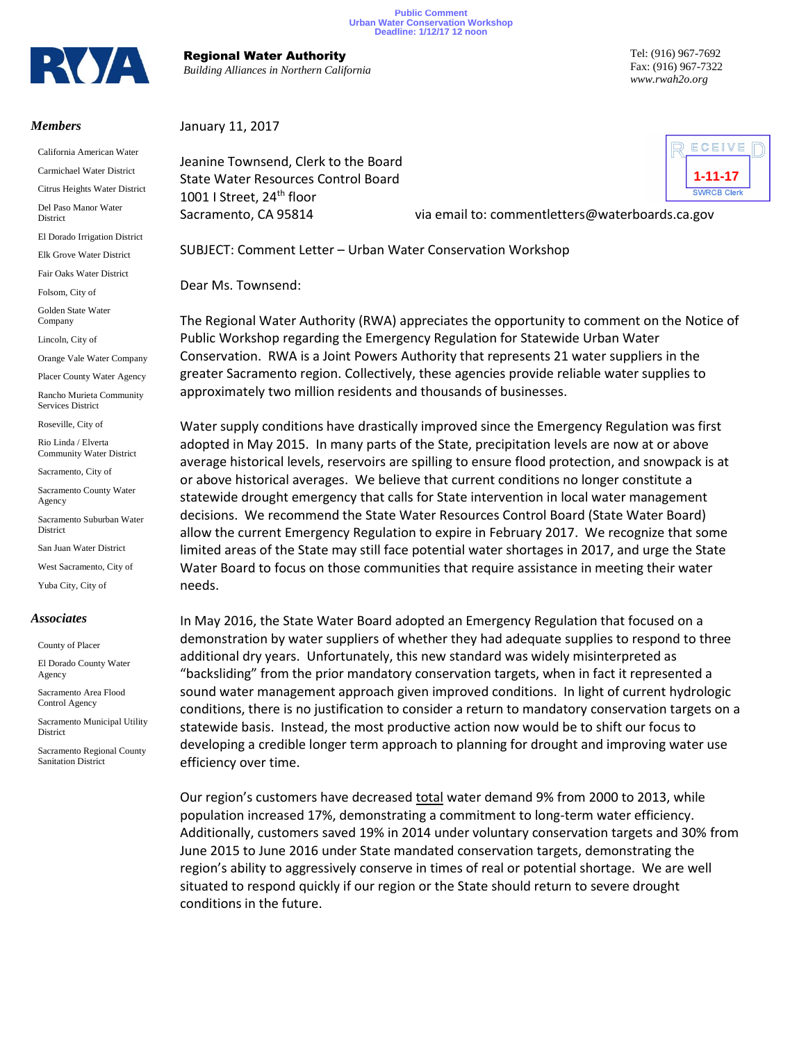Regional Water Authority *Building Alliances in Northern California* Tel: (916) 967-7692 Fax: (916) 967-7322 *www.rwah2o.org*

**1-11-17**

**SWRCB Clerk** 

ECEIVE

## *Members*

California American Water

Carmichael Water District Citrus Heights Water District

Del Paso Manor Water **District** 

El Dorado Irrigation District

Elk Grove Water District

Fair Oaks Water District

Folsom, City of

Golden State Water Company

Lincoln, City of

Orange Vale Water Company

Placer County Water Agency

Rancho Murieta Community Services District

Roseville, City of

Rio Linda / Elverta Community Water District

Sacramento, City of

Sacramento County Water Agency

Sacramento Suburban Water District

San Juan Water District

West Sacramento, City of

Yuba City, City of

## *Associates*

County of Placer

El Dorado County Water Agency

Sacramento Area Flood Control Agency

Sacramento Municipal Utility District

Sacramento Regional County Sanitation District

## January 11, 2017

Jeanine Townsend, Clerk to the Board State Water Resources Control Board 1001 I Street, 24<sup>th</sup> floor

Sacramento, CA 95814 via email to: commentletters@waterboards.ca.gov

SUBJECT: Comment Letter – Urban Water Conservation Workshop

Dear Ms. Townsend:

The Regional Water Authority (RWA) appreciates the opportunity to comment on the Notice of Public Workshop regarding the Emergency Regulation for Statewide Urban Water Conservation. RWA is a Joint Powers Authority that represents 21 water suppliers in the greater Sacramento region. Collectively, these agencies provide reliable water supplies to approximately two million residents and thousands of businesses.

**Public Comment Urban Water Conservation Workshop Deadline: 1/12/17 12 noon**

Water supply conditions have drastically improved since the Emergency Regulation was first adopted in May 2015. In many parts of the State, precipitation levels are now at or above average historical levels, reservoirs are spilling to ensure flood protection, and snowpack is at or above historical averages. We believe that current conditions no longer constitute a statewide drought emergency that calls for State intervention in local water management decisions. We recommend the State Water Resources Control Board (State Water Board) allow the current Emergency Regulation to expire in February 2017. We recognize that some limited areas of the State may still face potential water shortages in 2017, and urge the State Water Board to focus on those communities that require assistance in meeting their water needs.

In May 2016, the State Water Board adopted an Emergency Regulation that focused on a demonstration by water suppliers of whether they had adequate supplies to respond to three additional dry years. Unfortunately, this new standard was widely misinterpreted as "backsliding" from the prior mandatory conservation targets, when in fact it represented a sound water management approach given improved conditions. In light of current hydrologic conditions, there is no justification to consider a return to mandatory conservation targets on a statewide basis. Instead, the most productive action now would be to shift our focus to developing a credible longer term approach to planning for drought and improving water use efficiency over time.

Our region's customers have decreased total water demand 9% from 2000 to 2013, while population increased 17%, demonstrating a commitment to long-term water efficiency. Additionally, customers saved 19% in 2014 under voluntary conservation targets and 30% from June 2015 to June 2016 under State mandated conservation targets, demonstrating the region's ability to aggressively conserve in times of real or potential shortage. We are well situated to respond quickly if our region or the State should return to severe drought conditions in the future.